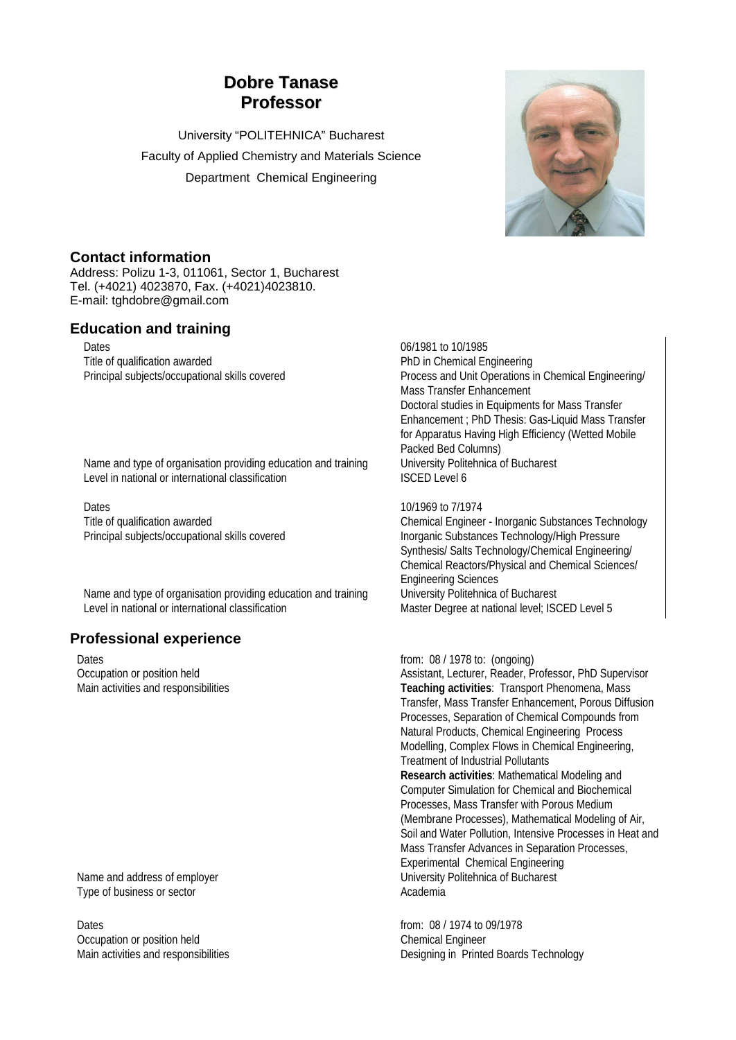# **Dobre Tanase Professor**

University "POLITEHNICA" Bucharest Faculty of Applied Chemistry and Materials Science Department Chemical Engineering



### **Contact information**

Address: Polizu 1-3, 011061, Sector 1, Bucharest Tel. (+4021) 4023870, Fax. (+4021)4023810. E-mail: tghdobre@gmail.com

## **Education and training**

Dates 06/1981 to 10/1985 Title of qualification awarded **PhD** in Chemical Engineering

Name and type of organisation providing education and training University Politehnica of Bucharest Level in national or international classification ISCED Level 6

Dates<br>
Title of qualification awarded<br>
Title of qualification awarded<br>
Chemical Engineer

Name and type of organisation providing education and training University Politehnica of Bucharest<br>Level in national or international classification<br>Master Degree at national level: IS

# **Professional experience**

Dates **from: 08 / 1978 to: (ongoing)** 

Type of business or sector and a sector Academia

Dates from: 08 / 1974 to 09/1978 Occupation or position held Chemical Engineer

Principal subjects/occupational skills covered Process and Unit Operations in Chemical Engineering/ Mass Transfer Enhancement Doctoral studies in Equipments for Mass Transfer Enhancement ; PhD Thesis: Gas-Liquid Mass Transfer for Apparatus Having High Efficiency (Wetted Mobile Packed Bed Columns)

Title of qualification awarded<br>
Principal subjects/occupational skills covered<br>
Inorganic Substances Technology/High Pressure Inorganic Substances Technology/High Pressure Synthesis/ Salts Technology/Chemical Engineering/ Chemical Reactors/Physical and Chemical Sciences/ Engineering Sciences Master Degree at national level; ISCED Level 5

Occupation or position held Assistant, Lecturer, Reader, Professor, PhD Supervisor Main activities and responsibilities **Teaching activities**: Transport Phenomena, Mass Transfer, Mass Transfer Enhancement, Porous Diffusion Processes, Separation of Chemical Compounds from Natural Products, Chemical Engineering Process Modelling, Complex Flows in Chemical Engineering, Treatment of Industrial Pollutants **Research activities**: Mathematical Modeling and Computer Simulation for Chemical and Biochemical Processes, Mass Transfer with Porous Medium (Membrane Processes), Mathematical Modeling of Air, Soil and Water Pollution, Intensive Processes in Heat and Mass Transfer Advances in Separation Processes, Experimental Chemical Engineering Name and address of employer **Name and address of employer** University Politehnica of Bucharest

Main activities and responsibilities Designing in Printed Boards Technology